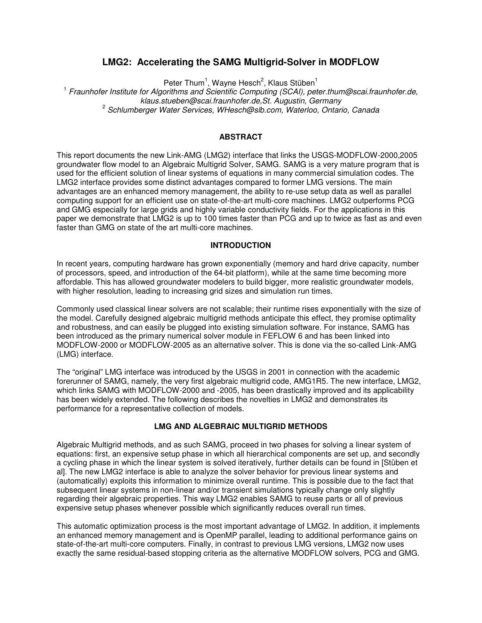# **LMG2: Accelerating the SAMG Multigrid-Solver in MODFLOW**

Peter Thum<sup>1</sup>, Wayne Hesch<sup>2</sup>, Klaus Stüben<sup>1</sup>

<sup>1</sup> Fraunhofer Institute for Algorithms and Scientific Computing (SCAI), peter thum@scai fraunhofer de, klaus.stueben@scai.fraunhofer.de,St. Augustin, Germany <sup>2</sup> Schlumberger Water Services, WHesch@slb.com, Waterloo, Ontario, Canada

# **ABSTRACT**

This report documents the new Link-AMG (LMG2) interface that links the USGS-MODFLOW-2000,2005 groundwater flow model to an Algebraic Multigrid Solver, SAMG. SAMG is a very mature program that is used for the efficient solution of linear systems of equations in many commercial simulation codes. The LMG2 interface provides some distinct advantages compared to former LMG versions. The main advantages are an enhanced memory management, the ability to re-use setup data as well as parallel computing support for an efficient use on state-of-the-art multi-core machines. LMG2 outperforms PCG and GMG especially for large grids and highly variable conductivity fields. For the applications in this paper we demonstrate that LMG2 is up to 100 times faster than PCG and up to twice as fast as and even faster than GMG on state of the art multi-core machines.

#### **INTRODUCTION**

In recent years, computing hardware has grown exponentially (memory and hard drive capacity, number of processors, speed, and introduction of the 64-bit platform), while at the same time becoming more affordable. This has allowed groundwater modelers to build bigger, more realistic groundwater models, with higher resolution, leading to increasing grid sizes and simulation run times.

Commonly used classical linear solvers are not scalable; their runtime rises exponentially with the size of the model. Carefully designed algebraic multigrid methods anticipate this effect, they promise optimality and robustness, and can easily be plugged into existing simulation software. For instance, SAMG has been introduced as the primary numerical solver module in FEFLOW 6 and has been linked into MODFLOW-2000 or MODFLOW-2005 as an alternative solver. This is done via the so-called Link-AMG (LMG) interface.

The "original" LMG interface was introduced by the USGS in 2001 in connection with the academic forerunner of SAMG, namely, the very first algebraic multigrid code, AMG1R5. The new interface, LMG2, which links SAMG with MODFLOW-2000 and -2005, has been drastically improved and its applicability has been widely extended. The following describes the novelties in LMG2 and demonstrates its performance for a representative collection of models.

## **LMG AND ALGEBRAIC MULTIGRID METHODS**

Algebraic Multigrid methods, and as such SAMG, proceed in two phases for solving a linear system of equations: first, an expensive setup phase in which all hierarchical components are set up, and secondly a cycling phase in which the linear system is solved iteratively, further details can be found in [Stüben et al]. The new LMG2 interface is able to analyze the solver behavior for previous linear systems and (automatically) exploits this information to minimize overall runtime. This is possible due to the fact that subsequent linear systems in non-linear and/or transient simulations typically change only slightly regarding their algebraic properties. This way LMG2 enables SAMG to reuse parts or all of previous expensive setup phases whenever possible which significantly reduces overall run times.

This automatic optimization process is the most important advantage of LMG2. In addition, it implements an enhanced memory management and is OpenMP parallel, leading to additional performance gains on state-of-the-art multi-core computers. Finally, in contrast to previous LMG versions, LMG2 now uses exactly the same residual-based stopping criteria as the alternative MODFLOW solvers, PCG and GMG.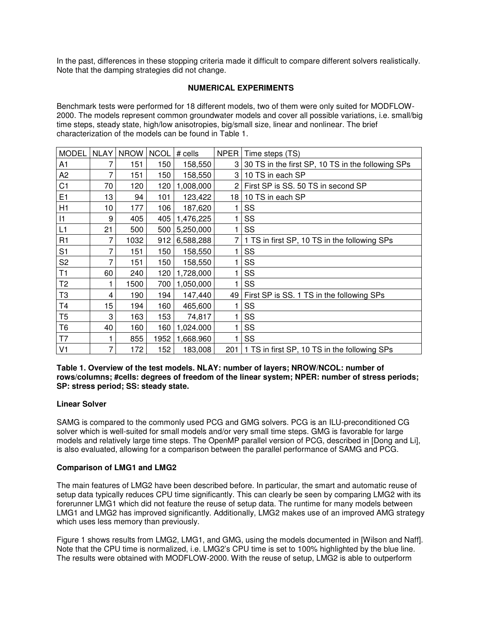In the past, differences in these stopping criteria made it difficult to compare different solvers realistically. Note that the damping strategies did not change.

# **NUMERICAL EXPERIMENTS**

Benchmark tests were performed for 18 different models, two of them were only suited for MODFLOW-2000. The models represent common groundwater models and cover all possible variations, i.e. small/big time steps, steady state, high/low anisotropies, big/small size, linear and nonlinear. The brief characterization of the models can be found in Table 1.

| <b>MODEL</b>   | <b>NLAY</b> | <b>NROW</b> | <b>NCOL</b> | # cells   | NPER <sup>1</sup> | Time steps (TS)                                     |
|----------------|-------------|-------------|-------------|-----------|-------------------|-----------------------------------------------------|
| A1             |             | 151         | 150         | 158,550   |                   | 3 30 TS in the first SP, 10 TS in the following SPs |
| A <sub>2</sub> | 7           | 151         | 150         | 158,550   | 3                 | 10 TS in each SP                                    |
| C <sub>1</sub> | 70          | 120         | 120         | 1,008,000 | $\overline{2}$    | First SP is SS. 50 TS in second SP                  |
| E1             | 13          | 94          | 101         | 123,422   | 18                | 10 TS in each SP                                    |
| H1             | 10          | 177         | 106         | 187,620   |                   | SS                                                  |
| $\vert$ 1      | 9           | 405         | 405         | 1,476,225 |                   | SS                                                  |
| L1             | 21          | 500         | 500         | 5,250,000 |                   | <b>SS</b>                                           |
| R1             | 7           | 1032        | 912         | 6,588,288 |                   | 1 TS in first SP, 10 TS in the following SPs        |
| S <sub>1</sub> |             | 151         | 150         | 158,550   |                   | SS                                                  |
| S <sub>2</sub> | 7           | 151         | 150         | 158,550   |                   | SS                                                  |
| T1             | 60          | 240         | 120         | 1,728,000 |                   | SS                                                  |
| T <sub>2</sub> |             | 1500        | 700         | 1,050,000 |                   | SS                                                  |
| T3             | 4           | 190         | 194         | 147,440   | 49                | First SP is SS. 1 TS in the following SPs           |
| T4             | 15          | 194         | 160         | 465,600   |                   | SS                                                  |
| T <sub>5</sub> | 3           | 163         | 153         | 74,817    |                   | SS                                                  |
| T <sub>6</sub> | 40          | 160         | 160         | 1,024.000 |                   | SS                                                  |
| T7             |             | 855         | 1952        | 1,668.960 |                   | SS                                                  |
| V <sub>1</sub> | 7           | 172         | 152         | 183,008   | 201               | 1 TS in first SP, 10 TS in the following SPs        |

**Table 1. Overview of the test models. NLAY: number of layers; NROW/NCOL: number of rows/columns; #cells: degrees of freedom of the linear system; NPER: number of stress periods; SP: stress period; SS: steady state.** 

# **Linear Solver**

SAMG is compared to the commonly used PCG and GMG solvers. PCG is an ILU-preconditioned CG solver which is well-suited for small models and/or very small time steps. GMG is favorable for large models and relatively large time steps. The OpenMP parallel version of PCG, described in [Dong and Li], is also evaluated, allowing for a comparison between the parallel performance of SAMG and PCG.

# **Comparison of LMG1 and LMG2**

The main features of LMG2 have been described before. In particular, the smart and automatic reuse of setup data typically reduces CPU time significantly. This can clearly be seen by comparing LMG2 with its forerunner LMG1 which did not feature the reuse of setup data. The runtime for many models between LMG1 and LMG2 has improved significantly. Additionally, LMG2 makes use of an improved AMG strategy which uses less memory than previously.

Figure 1 shows results from LMG2, LMG1, and GMG, using the models documented in [Wilson and Naff]. Note that the CPU time is normalized, i.e. LMG2's CPU time is set to 100% highlighted by the blue line. The results were obtained with MODFLOW-2000. With the reuse of setup, LMG2 is able to outperform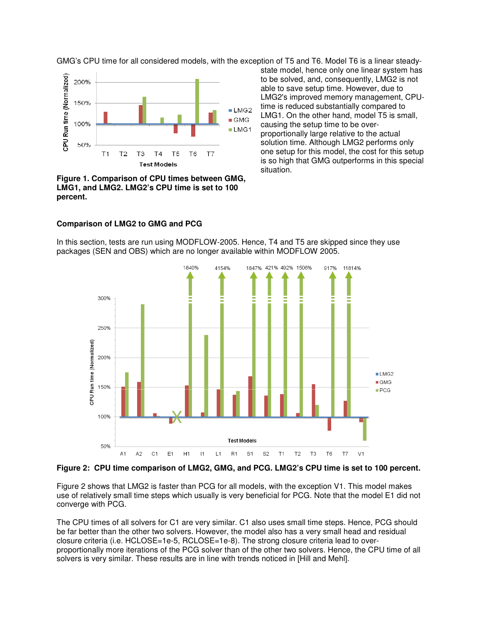GMG's CPU time for all considered models, with the exception of T5 and T6. Model T6 is a linear steady-



**Figure 1. Comparison of CPU times between GMG, LMG1, and LMG2. LMG2's CPU time is set to 100 percent.** 

state model, hence only one linear system has to be solved, and, consequently, LMG2 is not able to save setup time. However, due to LMG2's improved memory management, CPUtime is reduced substantially compared to LMG1. On the other hand, model T5 is small, causing the setup time to be overproportionally large relative to the actual solution time. Although LMG2 performs only one setup for this model, the cost for this setup is so high that GMG outperforms in this special situation.

#### **Comparison of LMG2 to GMG and PCG**

In this section, tests are run using MODFLOW-2005. Hence, T4 and T5 are skipped since they use packages (SEN and OBS) which are no longer available within MODFLOW 2005.



### **Figure 2: CPU time comparison of LMG2, GMG, and PCG. LMG2's CPU time is set to 100 percent.**

Figure 2 shows that LMG2 is faster than PCG for all models, with the exception V1. This model makes use of relatively small time steps which usually is very beneficial for PCG. Note that the model E1 did not converge with PCG.

The CPU times of all solvers for C1 are very similar. C1 also uses small time steps. Hence, PCG should be far better than the other two solvers. However, the model also has a very small head and residual closure criteria (i.e. HCLOSE=1e-5, RCLOSE=1e-8). The strong closure criteria lead to overproportionally more iterations of the PCG solver than of the other two solvers. Hence, the CPU time of all solvers is very similar. These results are in line with trends noticed in [Hill and Mehl].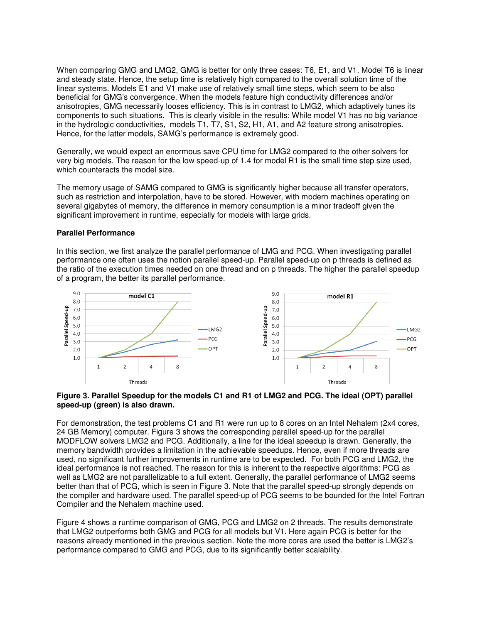When comparing GMG and LMG2, GMG is better for only three cases: T6, E1, and V1. Model T6 is linear and steady state. Hence, the setup time is relatively high compared to the overall solution time of the linear systems. Models E1 and V1 make use of relatively small time steps, which seem to be also beneficial for GMG's convergence. When the models feature high conductivity differences and/or anisotropies, GMG necessarily looses efficiency. This is in contrast to LMG2, which adaptively tunes its components to such situations. This is clearly visible in the results: While model V1 has no big variance in the hydrologic conductivities, models T1, T7, S1, S2, H1, A1, and A2 feature strong anisotropies. Hence, for the latter models, SAMG's performance is extremely good.

Generally, we would expect an enormous save CPU time for LMG2 compared to the other solvers for very big models. The reason for the low speed-up of 1.4 for model R1 is the small time step size used, which counteracts the model size.

The memory usage of SAMG compared to GMG is significantly higher because all transfer operators, such as restriction and interpolation, have to be stored. However, with modern machines operating on several gigabytes of memory, the difference in memory consumption is a minor tradeoff given the significant improvement in runtime, especially for models with large grids.

# **Parallel Performance**

In this section, we first analyze the parallel performance of LMG and PCG. When investigating parallel performance one often uses the notion parallel speed-up. Parallel speed-up on p threads is defined as the ratio of the execution times needed on one thread and on p threads. The higher the parallel speedup of a program, the better its parallel performance.



## **Figure 3. Parallel Speedup for the models C1 and R1 of LMG2 and PCG. The ideal (OPT) parallel speed-up (green) is also drawn.**

For demonstration, the test problems C1 and R1 were run up to 8 cores on an Intel Nehalem (2x4 cores, 24 GB Memory) computer. Figure 3 shows the corresponding parallel speed-up for the parallel MODFLOW solvers LMG2 and PCG. Additionally, a line for the ideal speedup is drawn. Generally, the memory bandwidth provides a limitation in the achievable speedups. Hence, even if more threads are used, no significant further improvements in runtime are to be expected. For both PCG and LMG2, the ideal performance is not reached. The reason for this is inherent to the respective algorithms: PCG as well as LMG2 are not parallelizable to a full extent. Generally, the parallel performance of LMG2 seems better than that of PCG, which is seen in Figure 3. Note that the parallel speed-up strongly depends on the compiler and hardware used. The parallel speed-up of PCG seems to be bounded for the Intel Fortran Compiler and the Nehalem machine used.

Figure 4 shows a runtime comparison of GMG, PCG and LMG2 on 2 threads. The results demonstrate that LMG2 outperforms both GMG and PCG for all models but V1. Here again PCG is better for the reasons already mentioned in the previous section. Note the more cores are used the better is LMG2's performance compared to GMG and PCG, due to its significantly better scalability.